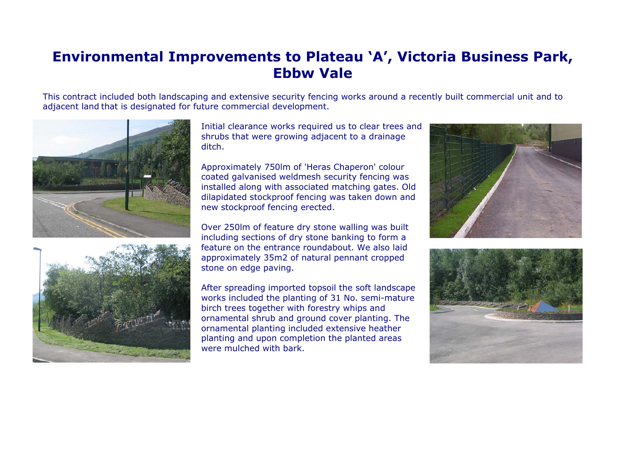## **Environmental Improvements to Plateau 'A', Victoria Business Park, Ebbw Vale**

This contract included both landscaping and extensive security fencing works around a recently built commercial unit and to adjacent land that is designated for future commercial development.





Initial clearance works required us to clear trees and shrubs that were growing adjacent to a drainage ditch.

Approximately 750lm of 'Heras Chaperon' colour coated galvanised weldmesh security fencing was installed along with associated matching gates. Old dilapidated stockproof fencing was taken down and new stockproof fencing erected.

Over 250lm of feature dry stone walling was built including sections of dry stone banking to form a feature on the entrance roundabout. We also laidapproximately 35m2 of natural pennant cropped stone on edge paving.

After spreading imported topsoil the soft landscape works included the planting of 31 No. semi-mature birch trees together with forestry whips and ornamental shrub and ground cover planting. The ornamental planting included extensive heather planting and upon completion the planted areas were mulched with bark.